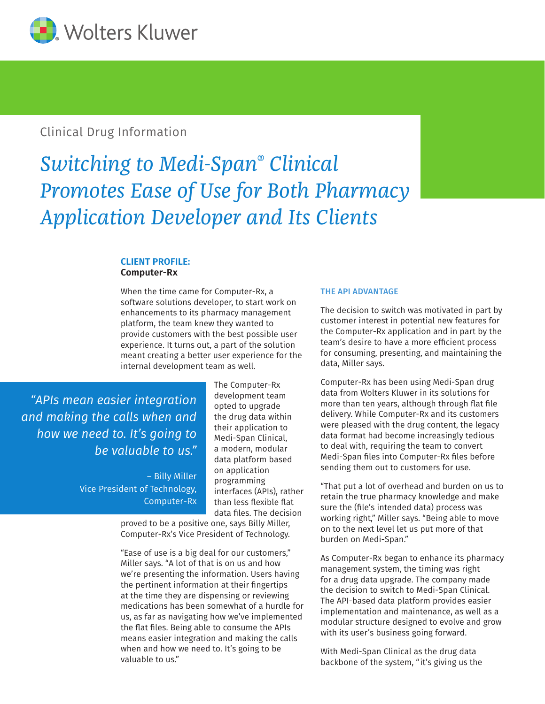

# Clinical Drug Information

# *Switching to Medi-Span® Clinical Promotes Ease of Use for Both Pharmacy Application Developer and Its Clients*

## **CLIENT PROFILE: Computer-Rx**

When the time came for Computer-Rx, a software solutions developer, to start work on enhancements to its pharmacy management platform, the team knew they wanted to provide customers with the best possible user experience. It turns out, a part of the solution meant creating a better user experience for the internal development team as well.

*"APIs mean easier integration and making the calls when and how we need to. It's going to be valuable to us."*

> – Billy Miller Vice President of Technology, Computer-Rx

The Computer-Rx development team opted to upgrade the drug data within their application to Medi-Span Clinical, a modern, modular data platform based on application programming interfaces (APIs), rather than less flexible flat data files. The decision

proved to be a positive one, says Billy Miller, Computer-Rx's Vice President of Technology.

"Ease of use is a big deal for our customers," Miller says. "A lot of that is on us and how we're presenting the information. Users having the pertinent information at their fingertips at the time they are dispensing or reviewing medications has been somewhat of a hurdle for us, as far as navigating how we've implemented the flat files. Being able to consume the APIs means easier integration and making the calls when and how we need to. It's going to be valuable to us."

#### THE API ADVANTAGE

The decision to switch was motivated in part by customer interest in potential new features for the Computer-Rx application and in part by the team's desire to have a more efficient process for consuming, presenting, and maintaining the data, Miller says.

Computer-Rx has been using Medi-Span drug data from Wolters Kluwer in its solutions for more than ten years, although through flat file delivery. While Computer-Rx and its customers were pleased with the drug content, the legacy data format had become increasingly tedious to deal with, requiring the team to convert Medi-Span files into Computer-Rx files before sending them out to customers for use.

"That put a lot of overhead and burden on us to retain the true pharmacy knowledge and make sure the (file's intended data) process was working right," Miller says. "Being able to move on to the next level let us put more of that burden on Medi-Span."

As Computer-Rx began to enhance its pharmacy management system, the timing was right for a drug data upgrade. The company made the decision to switch to Medi-Span Clinical. The API-based data platform provides easier implementation and maintenance, as well as a modular structure designed to evolve and grow with its user's business going forward.

With Medi-Span Clinical as the drug data backbone of the system, "it's giving us the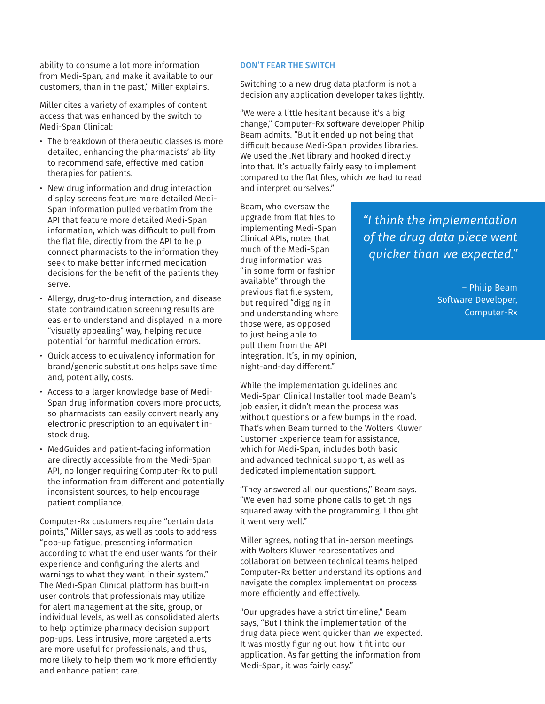ability to consume a lot more information from Medi-Span, and make it available to our customers, than in the past," Miller explains.

Miller cites a variety of examples of content access that was enhanced by the switch to Medi-Span Clinical:

- The breakdown of therapeutic classes is more detailed, enhancing the pharmacists' ability to recommend safe, effective medication therapies for patients.
- New drug information and drug interaction display screens feature more detailed Medi-Span information pulled verbatim from the API that feature more detailed Medi-Span information, which was difficult to pull from the flat file, directly from the API to help connect pharmacists to the information they seek to make better informed medication decisions for the benefit of the patients they serve.
- Allergy, drug-to-drug interaction, and disease state contraindication screening results are easier to understand and displayed in a more "visually appealing" way, helping reduce potential for harmful medication errors.
- Quick access to equivalency information for brand/generic substitutions helps save time and, potentially, costs.
- Access to a larger knowledge base of Medi-Span drug information covers more products, so pharmacists can easily convert nearly any electronic prescription to an equivalent instock drug.
- MedGuides and patient-facing information are directly accessible from the Medi-Span API, no longer requiring Computer-Rx to pull the information from different and potentially inconsistent sources, to help encourage patient compliance.

Computer-Rx customers require "certain data points," Miller says, as well as tools to address "pop-up fatigue, presenting information according to what the end user wants for their experience and configuring the alerts and warnings to what they want in their system." The Medi-Span Clinical platform has built-in user controls that professionals may utilize for alert management at the site, group, or individual levels, as well as consolidated alerts to help optimize pharmacy decision support pop-ups. Less intrusive, more targeted alerts are more useful for professionals, and thus, more likely to help them work more efficiently and enhance patient care.

#### DON'T FEAR THE SWITCH

Switching to a new drug data platform is not a decision any application developer takes lightly.

"We were a little hesitant because it's a big change," Computer-Rx software developer Philip Beam admits. "But it ended up not being that difficult because Medi-Span provides libraries. We used the .Net library and hooked directly into that. It's actually fairly easy to implement compared to the flat files, which we had to read and interpret ourselves."

Beam, who oversaw the upgrade from flat files to implementing Medi-Span Clinical APIs, notes that much of the Medi-Span drug information was "in some form or fashion available" through the previous flat file system, but required "digging in and understanding where those were, as opposed to just being able to pull them from the API integration. It's, in my opinion, night-and-day different."

While the implementation guidelines and Medi-Span Clinical Installer tool made Beam's job easier, it didn't mean the process was without questions or a few bumps in the road. That's when Beam turned to the Wolters Kluwer Customer Experience team for assistance, which for Medi-Span, includes both basic and advanced technical support, as well as dedicated implementation support.

"They answered all our questions," Beam says. "We even had some phone calls to get things squared away with the programming. I thought it went very well."

Miller agrees, noting that in-person meetings with Wolters Kluwer representatives and collaboration between technical teams helped Computer-Rx better understand its options and navigate the complex implementation process more efficiently and effectively.

"Our upgrades have a strict timeline," Beam says, "But I think the implementation of the drug data piece went quicker than we expected. It was mostly figuring out how it fit into our application. As far getting the information from Medi-Span, it was fairly easy."

*"I think the implementation of the drug data piece went quicker than we expected."* 

> – Philip Beam Software Developer, Computer-Rx